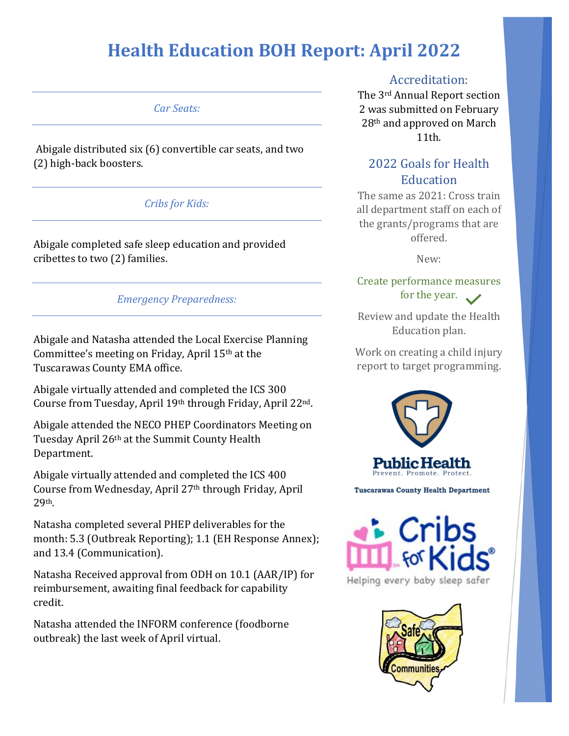### *Car Seats:*

Abigale distributed six (6) convertible car seats, and two (2) high-back boosters.

### *Cribs for Kids:*

Abigale completed safe sleep education and provided cribettes to two (2) families.

### *Emergency Preparedness:*

Abigale and Natasha attended the Local Exercise Planning Committee's meeting on Friday, April 15th at the Tuscarawas County EMA office.

Abigale virtually attended and completed the ICS 300 Course from Tuesday, April 19th through Friday, April 22nd.

Abigale attended the NECO PHEP Coordinators Meeting on Tuesday April 26th at the Summit County Health Department.

Abigale virtually attended and completed the ICS 400 Course from Wednesday, April 27th through Friday, April 29th.

Natasha completed several PHEP deliverables for the month: 5.3 (Outbreak Reporting); 1.1 (EH Response Annex); and 13.4 (Communication).

Natasha Received approval from ODH on 10.1 (AAR/IP) for reimbursement, awaiting final feedback for capability credit.

Natasha attended the INFORM conference (foodborne outbreak) the last week of April virtual.

# Accreditation:

The 3rd Annual Report section 2 was submitted on February 28th and approved on March 11th.

# 2022 Goals for Health **Education**

The same as 2021: Cross train all department staff on each of the grants/programs that are offered.

New:

# Create performance measures for the year.

Review and update the Health Education plan.

Work on creating a child injury report to target programming.



**Tuscarawas County Health Department** 



Helping every baby sleep safer

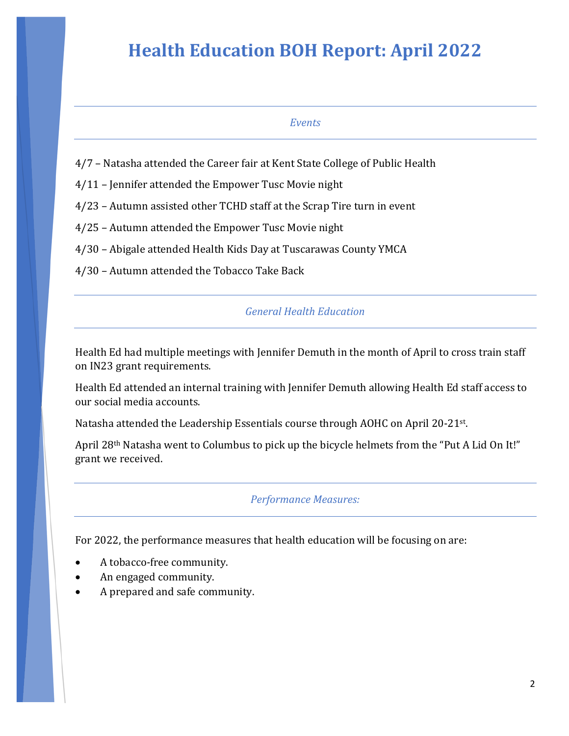#### *Events*

- 4/7 Natasha attended the Career fair at Kent State College of Public Health
- 4/11 Jennifer attended the Empower Tusc Movie night
- 4/23 Autumn assisted other TCHD staff at the Scrap Tire turn in event
- 4/25 Autumn attended the Empower Tusc Movie night
- 4/30 Abigale attended Health Kids Day at Tuscarawas County YMCA
- 4/30 Autumn attended the Tobacco Take Back

#### *General Health Education*

Health Ed had multiple meetings with Jennifer Demuth in the month of April to cross train staff on IN23 grant requirements.

Health Ed attended an internal training with Jennifer Demuth allowing Health Ed staff access to our social media accounts.

Natasha attended the Leadership Essentials course through AOHC on April 20-21st.

April 28th Natasha went to Columbus to pick up the bicycle helmets from the "Put A Lid On It!" grant we received.

#### *Performance Measures:*

For 2022, the performance measures that health education will be focusing on are:

- A tobacco-free community.
- An engaged community.
- A prepared and safe community.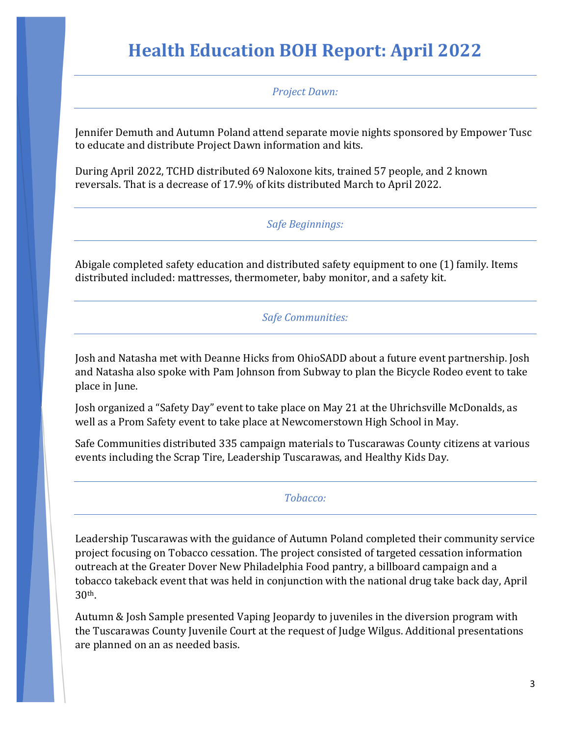*Project Dawn:*

Jennifer Demuth and Autumn Poland attend separate movie nights sponsored by Empower Tusc to educate and distribute Project Dawn information and kits.

During April 2022, TCHD distributed 69 Naloxone kits, trained 57 people, and 2 known reversals. That is a decrease of 17.9% of kits distributed March to April 2022.

# *Safe Beginnings:*

Abigale completed safety education and distributed safety equipment to one (1) family. Items distributed included: mattresses, thermometer, baby monitor, and a safety kit.

### *Safe Communities:*

Josh and Natasha met with Deanne Hicks from OhioSADD about a future event partnership. Josh and Natasha also spoke with Pam Johnson from Subway to plan the Bicycle Rodeo event to take place in June.

Josh organized a "Safety Day" event to take place on May 21 at the Uhrichsville McDonalds, as well as a Prom Safety event to take place at Newcomerstown High School in May.

Safe Communities distributed 335 campaign materials to Tuscarawas County citizens at various events including the Scrap Tire, Leadership Tuscarawas, and Healthy Kids Day.

#### *Tobacco:*

Leadership Tuscarawas with the guidance of Autumn Poland completed their community service project focusing on Tobacco cessation. The project consisted of targeted cessation information outreach at the Greater Dover New Philadelphia Food pantry, a billboard campaign and a tobacco takeback event that was held in conjunction with the national drug take back day, April 30th.

Autumn & Josh Sample presented Vaping Jeopardy to juveniles in the diversion program with the Tuscarawas County Juvenile Court at the request of Judge Wilgus. Additional presentations are planned on an as needed basis.